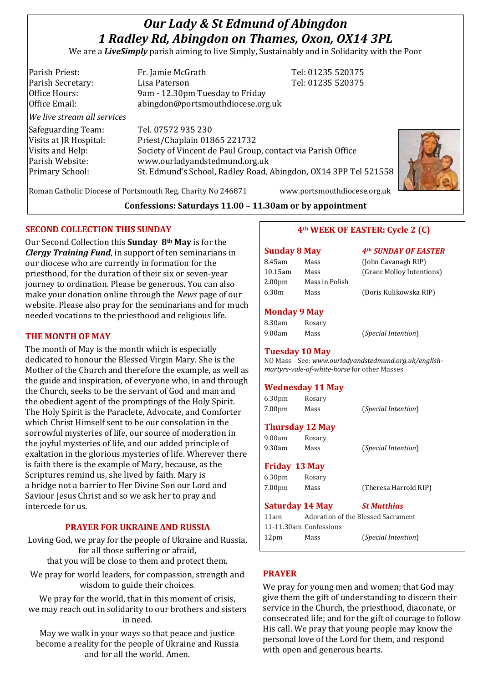# *Our Lady & St Edmund of Abingdon 1 Radley Rd, Abingdon on Thames, Oxon, OX14 3PL*

We are a *LiveSimply* parish aiming to live Simply, Sustainably and in Solidarity with the Poor

Parish Priest: Fr. Jamie McGrath Tel: 01235 520375 Parish Secretary: Lisa Paterson Tel: 01235 520375 Office Hours: 9am - 12.30pm Tuesday to Friday Office Email: abingdon@portsmouthdiocese.org.uk *We live stream all services* Safeguarding Team: Tel. 07572 935 230 Visits at JR Hospital: Priest/Chaplain 01865 221732 Visits and Help: Society of Vincent de Paul Group, contact via Parish Office Parish Website: www.ourladyandstedmund.org.uk Primary School: St. Edmund's School, Radley Road, Abingdon, OX14 3PP Tel 521558



Roman Catholic Diocese of Portsmouth Reg. Charity No 246871 www.portsmouthdiocese.org.uk

**Confessions: Saturdays 11.00 – 11.30am or by appointment**

#### **SECOND COLLECTION THIS SUNDAY**

Our Second Collection this **Sunday 8th May** is for the *Clergy Training Fund*, in support of ten seminarians in our diocese who are currently in formation for the priesthood, for the duration of their six or seven-year journey to ordination. Please be generous. You can also make your donation online through the *News* page of our website. Please also pray for the seminarians and for much needed vocations to the priesthood and religious life.

#### **THE MONTH OF MAY**

The month of May is the month which is especially dedicated to honour the Blessed Virgin Mary. She is the Mother of the Church and therefore the example, as well as the guide and inspiration, of everyone who, in and through the Church, seeks to be the servant of God and man and the obedient agent of the promptings of the Holy Spirit. The Holy Spirit is the Paraclete, Advocate, and Comforter which Christ Himself sent to be our consolation in the sorrowful mysteries of life, our source of moderation in the joyful mysteries of life, and our added principle of exaltation in the glorious mysteries of life. Wherever there is faith there is the example of Mary, because, as the Scriptures remind us, she lived by faith. Mary is a bridge not a barrier to Her Divine Son our Lord and Saviour Jesus Christ and so we ask her to pray and intercede for us.

## **PRAYER FOR UKRAINE AND RUSSIA**

Loving God, we pray for the people of Ukraine and Russia, for all those suffering or afraid, that you will be close to them and protect them.

We pray for world leaders, for compassion, strength and wisdom to guide their choices.

We pray for the world, that in this moment of crisis, we may reach out in solidarity to our brothers and sisters in need.

May we walk in your ways so that peace and justice become a reality for the people of Ukraine and Russia and for all the world. Amen.

#### **4th WEEK OF EASTER: Cycle 2 (C)**

# **Sunday 8 May** *4th SUNDAY OF EASTER*

| 8.45am             | Mass           | (John Cavanagh RIP)       |
|--------------------|----------------|---------------------------|
| $10.15$ am         | Mass           | (Grace Molloy Intentions) |
| 2.00 <sub>pm</sub> | Mass in Polish |                           |
| 6.30m              | Mass           | (Doris Kulikowska RIP)    |

#### **Monday 9 May**

| 8.30am | Rosary |                              |
|--------|--------|------------------------------|
| 9.00am | Mass   | ( <i>Special Intention</i> ) |

**Tuesday 10 May**  NO Mass See: *www.ourladyandstedmund.org.uk/englishmartyrs-vale-of-white-horse* for other Masses

## **Wednesday 11 May**

6.30pm Rosary 7.00pm Mass (*Special Intention*)

#### **Thursday 12 May**

9.00am Rosary 9.30am Mass (*Special Intention*)

#### **Friday 13 May**

6.30pm Rosary 7.00pm Mass (Theresa Harrold RIP)

#### **Saturday 14 May** *St Matthias*

11am Adoration of the Blessed Sacrament 11-11.30am Confessions 12pm Mass (*Special Intention*)

#### **PRAYER**

We pray for young men and women; that God may give them the gift of understanding to discern their service in the Church, the priesthood, diaconate, or consecrated life; and for the gift of courage to follow His call. We pray that young people may know the personal love of the Lord for them, and respond with open and generous hearts.